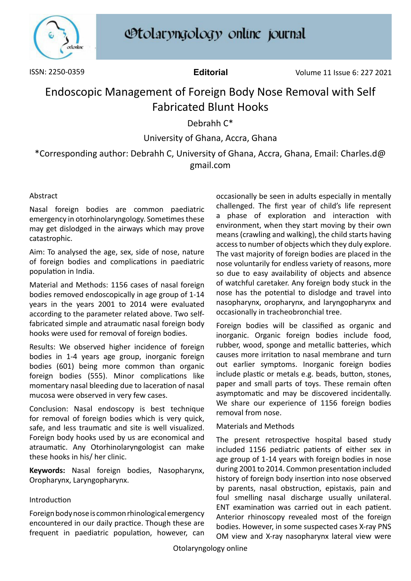

# **Otolaryngology online journal**

ISSN: 2250-0359 **Editorial** Volume 11 Issue 6: 227 2021

## Endoscopic Management of Foreign Body Nose Removal with Self Fabricated Blunt Hooks

Debrahh C\*

University of Ghana, Accra, Ghana

\*Corresponding author: Debrahh C, University of Ghana, Accra, Ghana, Email: Charles.d@ gmail.com

### Abstract

Nasal foreign bodies are common paediatric emergency in otorhinolaryngology. Sometimes these may get dislodged in the airways which may prove catastrophic.

Aim: To analysed the age, sex, side of nose, nature of foreign bodies and complications in paediatric population in India.

Material and Methods: 1156 cases of nasal foreign bodies removed endoscopically in age group of 1-14 years in the years 2001 to 2014 were evaluated according to the parameter related above. Two selffabricated simple and atraumatic nasal foreign body hooks were used for removal of foreign bodies.

Results: We observed higher incidence of foreign bodies in 1-4 years age group, inorganic foreign bodies (601) being more common than organic foreign bodies (555). Minor complications like momentary nasal bleeding due to laceration of nasal mucosa were observed in very few cases.

Conclusion: Nasal endoscopy is best technique for removal of foreign bodies which is very quick, safe, and less traumatic and site is well visualized. Foreign body hooks used by us are economical and atraumatic. Any Otorhinolaryngologist can make these hooks in his/ her clinic.

**Keywords:** Nasal foreign bodies, Nasopharynx, Oropharynx, Laryngopharynx.

#### Introduction

Foreign body nose is common rhinological emergency encountered in our daily practice. Though these are frequent in paediatric population, however, can occasionally be seen in adults especially in mentally challenged. The first year of child's life represent a phase of exploration and interaction with environment, when they start moving by their own means (crawling and walking), the child starts having access to number of objects which they duly explore. The vast majority of foreign bodies are placed in the nose voluntarily for endless variety of reasons, more so due to easy availability of objects and absence of watchful caretaker. Any foreign body stuck in the nose has the potential to dislodge and travel into nasopharynx, oropharynx, and laryngopharynx and occasionally in tracheobronchial tree.

Foreign bodies will be classified as organic and inorganic. Organic foreign bodies include food, rubber, wood, sponge and metallic batteries, which causes more irritation to nasal membrane and turn out earlier symptoms. Inorganic foreign bodies include plastic or metals e.g. beads, button, stones, paper and small parts of toys. These remain often asymptomatic and may be discovered incidentally. We share our experience of 1156 foreign bodies removal from nose.

#### Materials and Methods

The present retrospective hospital based study included 1156 pediatric patients of either sex in age group of 1-14 years with foreign bodies in nose during 2001 to 2014. Common presentation included history of foreign body insertion into nose observed by parents, nasal obstruction, epistaxis, pain and foul smelling nasal discharge usually unilateral. ENT examination was carried out in each patient. Anterior rhinoscopy revealed most of the foreign bodies. However, in some suspected cases X-ray PNS OM view and X-ray nasopharynx lateral view were